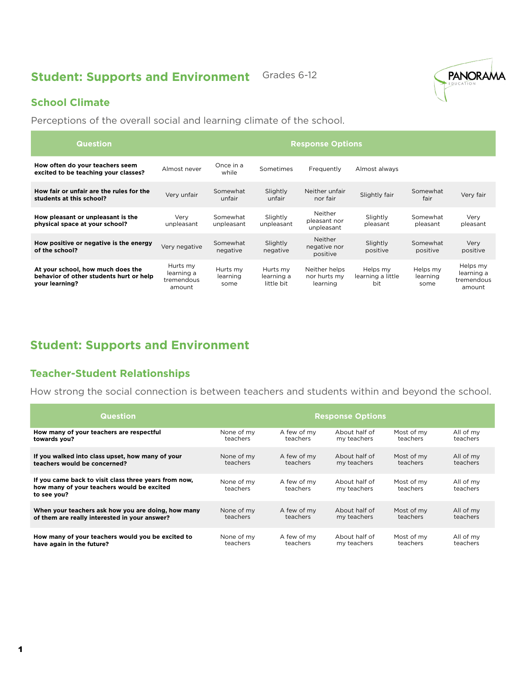## **Student: Supports and Environment** Grades 6-12



### **School Climate**

Perceptions of the overall social and learning climate of the school.

| <b>Question</b>                                                                                | <b>Response Options</b>                        |                              |                                      |                                           |                                      |                              |                                                |
|------------------------------------------------------------------------------------------------|------------------------------------------------|------------------------------|--------------------------------------|-------------------------------------------|--------------------------------------|------------------------------|------------------------------------------------|
| How often do your teachers seem<br>excited to be teaching your classes?                        | Almost never                                   | Once in a<br>while           | Sometimes                            | Frequently                                | Almost always                        |                              |                                                |
| How fair or unfair are the rules for the<br>students at this school?                           | Very unfair                                    | Somewhat<br>unfair           | Slightly<br>unfair                   | Neither unfair<br>nor fair                | Slightly fair                        | Somewhat<br>fair             | Very fair                                      |
| How pleasant or unpleasant is the<br>physical space at your school?                            | Very<br>unpleasant                             | Somewhat<br>unpleasant       | Slightly<br>unpleasant               | Neither<br>pleasant nor<br>unpleasant     | Slightly<br>pleasant                 | Somewhat<br>pleasant         | Very<br>pleasant                               |
| How positive or negative is the energy<br>of the school?                                       | Very negative                                  | Somewhat<br>negative         | Slightly<br>negative                 | Neither<br>negative nor<br>positive       | Slightly<br>positive                 | Somewhat<br>positive         | Very<br>positive                               |
| At your school, how much does the<br>behavior of other students hurt or help<br>your learning? | Hurts my<br>learning a<br>tremendous<br>amount | Hurts my<br>learning<br>some | Hurts my<br>learning a<br>little bit | Neither helps<br>nor hurts my<br>learning | Helps my<br>learning a little<br>bit | Helps my<br>learning<br>some | Helps my<br>learning a<br>tremendous<br>amount |

# **Student: Supports and Environment**

### **Teacher-Student Relationships**

How strong the social connection is between teachers and students within and beyond the school.

| <b>Question</b>                                                                                                    | <b>Response Options</b> |                         |                              |                        |                       |
|--------------------------------------------------------------------------------------------------------------------|-------------------------|-------------------------|------------------------------|------------------------|-----------------------|
| How many of your teachers are respectful                                                                           | None of my              | A few of my             | About half of                | Most of my             | All of my             |
| towards vou?                                                                                                       | teachers                | teachers                | my teachers                  | teachers               | teachers              |
| If you walked into class upset, how many of your                                                                   | None of my              | A few of my             | About half of                | Most of my             | All of my             |
| teachers would be concerned?                                                                                       | teachers                | teachers                | my teachers                  | teachers               | teachers              |
| If you came back to visit class three years from now,<br>how many of your teachers would be excited<br>to see you? | None of my<br>teachers  | A few of my<br>teachers | About half of<br>my teachers | Most of my<br>teachers | All of my<br>teachers |
| When your teachers ask how you are doing, how many                                                                 | None of my              | A few of my             | About half of                | Most of my             | All of my             |
| of them are really interested in your answer?                                                                      | teachers                | teachers                | my teachers                  | teachers               | teachers              |
| How many of your teachers would you be excited to                                                                  | None of my              | A few of my             | About half of                | Most of my             | All of my             |
| have again in the future?                                                                                          | teachers                | teachers                | my teachers                  | teachers               | teachers              |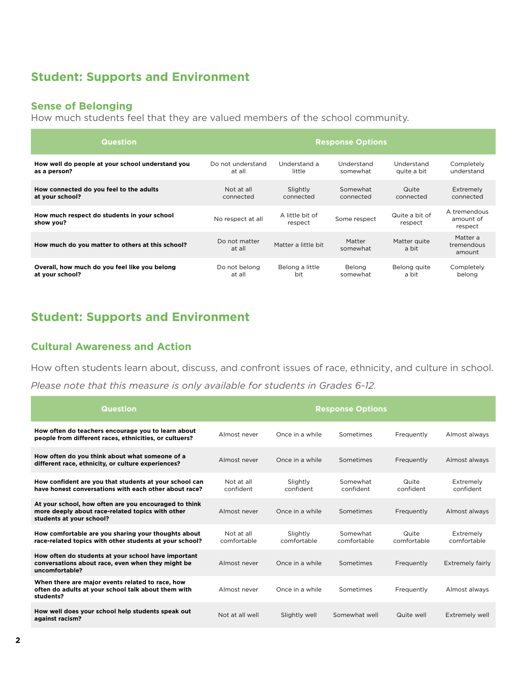## **Student: Supports and Environment**

### **Sense of Belonging**

How much students feel that they are valued members of the school community.

| <b>Question</b>                                          | <b>Response Options</b> |                            |                    |                           |                                      |
|----------------------------------------------------------|-------------------------|----------------------------|--------------------|---------------------------|--------------------------------------|
| How well do people at your school understand you         | Do not understand       | Understand a               | Understand         | Understand                | Completely                           |
| as a person?                                             | at all                  | little                     | somewhat           | quite a bit               | understand                           |
| How connected do you feel to the adults                  | Not at all              | Slightly                   | Somewhat           | Quite                     | Extremely                            |
| at your school?                                          | connected               | connected                  | connected          | connected                 | connected                            |
| How much respect do students in your school<br>show you? | No respect at all       | A little bit of<br>respect | Some respect       | Quite a bit of<br>respect | A tremendous<br>amount of<br>respect |
| How much do you matter to others at this school?         | Do not matter<br>at all | Matter a little bit        | Matter<br>somewhat | Matter quite<br>a bit     | Matter a<br>tremendous<br>amount     |
| Overall, how much do you feel like you belong            | Do not belong           | Belong a little            | Belong             | Belong quite              | Completely                           |
| at your school?                                          | at all                  | bit                        | somewhat           | a bit                     | belong                               |

## **Student: Supports and Environment**

#### **Cultural Awareness and Action**

How often students learn about, discuss, and confront issues of race, ethnicity, and culture in school. *Please note that this measure is only available for students in Grades 6-12.*

| <b>Question</b>                                                                                                                       | <b>Response Options</b>   |                         |                         |                      |                          |
|---------------------------------------------------------------------------------------------------------------------------------------|---------------------------|-------------------------|-------------------------|----------------------|--------------------------|
| How often do teachers encourage you to learn about<br>people from different races, ethnicities, or cultuers?                          | Almost never              | Once in a while         | Sometimes               | Frequently           | Almost always            |
| How often do you think about what someone of a<br>different race, ethnicity, or culture experiences?                                  | Almost never              | Once in a while         | Sometimes               | Frequently           | Almost always            |
| How confident are you that students at your school can<br>have honest conversations with each other about race?                       | Not at all<br>confident   | Slightly<br>confident   | Somewhat<br>confident   | Quite<br>confident   | Extremely<br>confident   |
| At your school, how often are you encouraged to think<br>more deeply about race-related topics with other<br>students at your school? | Almost never              | Once in a while         | Sometimes               | Frequently           | Almost always            |
| How comfortable are you sharing your thoughts about<br>race-related topics with other students at your school?                        | Not at all<br>comfortable | Slightly<br>comfortable | Somewhat<br>comfortable | Quite<br>comfortable | Extremely<br>comfortable |
| How often do students at your school have important<br>conversations about race, even when they might be<br>uncomfortable?            | Almost never              | Once in a while         | Sometimes               | Frequently           | Extremely fairly         |
| When there are major events related to race, how<br>often do adults at your school talk about them with<br>students?                  | Almost never              | Once in a while         | Sometimes               | Frequently           | Almost always            |
| How well does your school help students speak out<br>against racism?                                                                  | Not at all well           | Slightly well           | Somewhat well           | Quite well           | Extremely well           |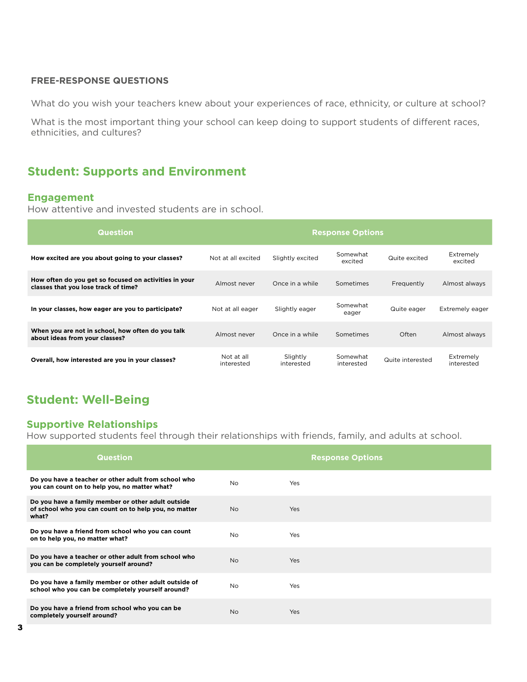#### **FREE-RESPONSE QUESTIONS**

What do you wish your teachers knew about your experiences of race, ethnicity, or culture at school?

What is the most important thing your school can keep doing to support students of different races, ethnicities, and cultures?

### **Student: Supports and Environment**

#### **Engagement**

How attentive and invested students are in school.

| <b>Question</b>                                                                               | <b>Response Options</b>  |                        |                        |                  |                         |
|-----------------------------------------------------------------------------------------------|--------------------------|------------------------|------------------------|------------------|-------------------------|
| How excited are you about going to your classes?                                              | Not at all excited       | Slightly excited       | Somewhat<br>excited    | Quite excited    | Extremely<br>excited    |
| How often do you get so focused on activities in your<br>classes that you lose track of time? | Almost never             | Once in a while        | Sometimes              | Frequently       | Almost always           |
| In your classes, how eager are you to participate?                                            | Not at all eager         | Slightly eager         | Somewhat<br>eager      | Quite eager      | Extremely eager         |
| When you are not in school, how often do you talk<br>about ideas from your classes?           | Almost never             | Once in a while        | Sometimes              | Often            | Almost always           |
| Overall, how interested are you in your classes?                                              | Not at all<br>interested | Slightly<br>interested | Somewhat<br>interested | Quite interested | Extremely<br>interested |

# **Student: Well-Being**

### **Supportive Relationships**

How supported students feel through their relationships with friends, family, and adults at school.

| <b>Question</b>                                                                                                      |                | <b>Response Options</b> |
|----------------------------------------------------------------------------------------------------------------------|----------------|-------------------------|
| Do you have a teacher or other adult from school who<br>you can count on to help you, no matter what?                | N <sub>o</sub> | Yes                     |
| Do you have a family member or other adult outside<br>of school who you can count on to help you, no matter<br>what? | No.            | Yes                     |
| Do you have a friend from school who you can count<br>on to help you, no matter what?                                | N <sub>o</sub> | Yes                     |
| Do you have a teacher or other adult from school who<br>you can be completely yourself around?                       | N <sub>o</sub> | Yes                     |
| Do you have a family member or other adult outside of<br>school who you can be completely yourself around?           | N <sub>o</sub> | Yes                     |
| Do you have a friend from school who you can be<br>completely yourself around?                                       | <b>No</b>      | Yes                     |